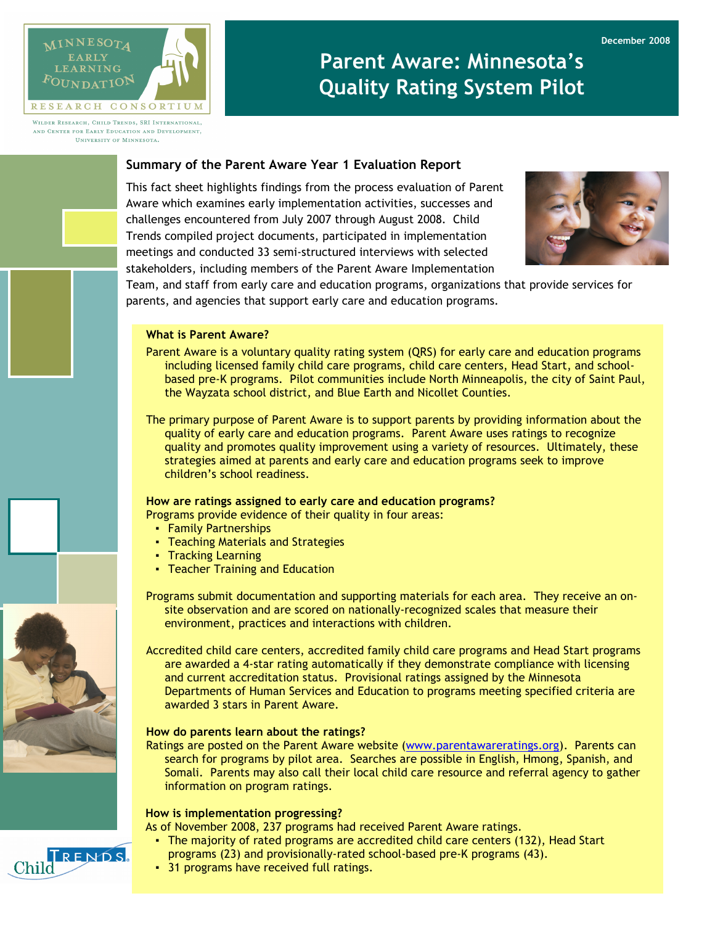

WILDER RESEARCH, CHILD TRENDS, SRI INTERNATIONAL, AND CENTER FOR EARLY EDUCATION AND DEVELOPMENT. *UNIVERSITY OF MINNESOTA* 

# Parent Aware: Minnesota's Quality Rating System Pilot

# Summary of the Parent Aware Year 1 Evaluation Report

This fact sheet highlights findings from the process evaluation of Parent Aware which examines early implementation activities, successes and challenges encountered from July 2007 through August 2008. Child Trends compiled project documents, participated in implementation meetings and conducted 33 semi-structured interviews with selected stakeholders, including members of the Parent Aware Implementation



Team, and staff from early care and education programs, organizations that provide services for parents, and agencies that support early care and education programs.

# What is Parent Aware?

- Parent Aware is a voluntary quality rating system (QRS) for early care and education programs including licensed family child care programs, child care centers, Head Start, and schoolbased pre-K programs. Pilot communities include North Minneapolis, the city of Saint Paul, the Wayzata school district, and Blue Earth and Nicollet Counties.
- The primary purpose of Parent Aware is to support parents by providing information about the quality of early care and education programs. Parent Aware uses ratings to recognize quality and promotes quality improvement using a variety of resources. Ultimately, these strategies aimed at parents and early care and education programs seek to improve children's school readiness.

# How are ratings assigned to early care and education programs?

- Programs provide evidence of their quality in four areas:
	- Family Partnerships
	- Teaching Materials and Strategies
	- Tracking Learning
	- Teacher Training and Education

Programs submit documentation and supporting materials for each area. They receive an onsite observation and are scored on nationally-recognized scales that measure their environment, practices and interactions with children.

Accredited child care centers, accredited family child care programs and Head Start programs are awarded a 4-star rating automatically if they demonstrate compliance with licensing and current accreditation status. Provisional ratings assigned by the Minnesota Departments of Human Services and Education to programs meeting specified criteria are awarded 3 stars in Parent Aware.

### How do parents learn about the ratings?

Ratings are posted on the Parent Aware website (www.parentawareratings.org). Parents can search for programs by pilot area. Searches are possible in English, Hmong, Spanish, and Somali. Parents may also call their local child care resource and referral agency to gather information on program ratings.

## How is implementation progressing?

- As of November 2008, 237 programs had received Parent Aware ratings.
	- The majority of rated programs are accredited child care centers (132), Head Start programs (23) and provisionally-rated school-based pre-K programs (43).
- 31 programs have received full ratings.